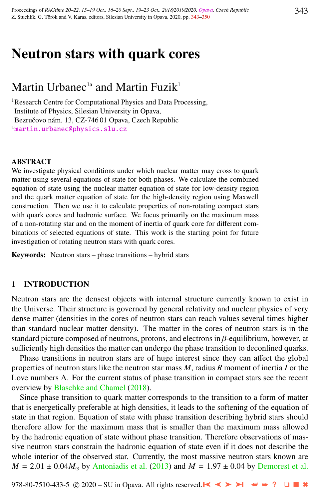# Neutron stars with quark cores

## Martin Urbanec<sup>1a</sup> and Martin Fuzik<sup>1</sup>

<sup>1</sup>Research Centre for Computational Physics and Data Processing, Institute of Physics, Silesian University in Opava, Bezručovo nám. 13, CZ-74601 Opava, Czech Republic <sup>a</sup>[martin.urbanec@physics.slu.cz](http://www.physics.cz/ martin.urbanec@physics.slu.cz)

### **ABSTRACT**

We investigate physical conditions under which nuclear matter may cross to quark matter using several equations of state for both phases. We calculate the combined equation of state using the nuclear matter equation of state for low-density region and the quark matter equation of state for the high-density region using Maxwell construction. Then we use it to calculate properties of non-rotating compact stars with quark cores and hadronic surface. We focus primarily on the maximum mass of a non-rotating star and on the moment of inertia of quark core for different combinations of selected equations of state. This work is the starting point for future investigation of rotating neutron stars with quark cores.

Keywords: Neutron stars – phase transitions – hybrid stars

## 1 INTRODUCTION

Neutron stars are the densest objects with internal structure currently known to exist in the Universe. Their structure is governed by general relativity and nuclear physics of very dense matter (densities in the cores of neutron stars can reach values several times higher than standard nuclear matter density). The matter in the cores of neutron stars is in the standard picture composed of neutrons, protons, and electrons in  $\beta$ -equilibrium, however, at sufficiently high densities the matter can undergo the phase transition to deconfined quarks.

Phase transitions in neutron stars are of huge interest since they can affect the global properties of neutron stars like the neutron star mass *M*, radius *R* moment of inertia *I* or the Love numbers  $\Lambda$ . For the current status of phase transition in compact stars see the recent overview by [Blaschke and Chamel](#page-6-0) [\(2018\)](#page-6-0).

Since phase transition to quark matter corresponds to the transition to a form of matter that is energetically preferable at high densities, it leads to the softening of the equation of state in that region. Equation of state with phase transition describing hybrid stars should therefore allow for the maximum mass that is smaller than the maximum mass allowed by the hadronic equation of state without phase transition. Therefore observations of massive neutron stars constrain the hadronic equation of state even if it does not describe the whole interior of the observed star. Currently, the most massive neutron stars known are  $M = 2.01 \pm 0.04 M_{\odot}$  by [Antoniadis et al.](#page-6-0) [\(2013\)](#page-6-0) and  $M = 1.97 \pm 0.04$  by [Demorest et al.](#page-6-0)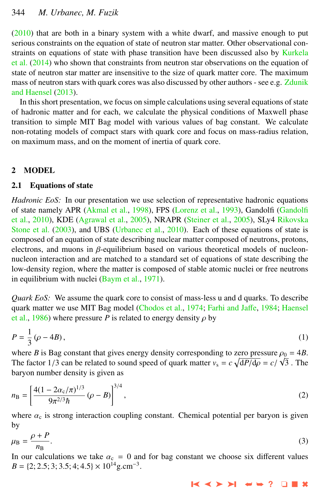$(2010)$  that are both in a binary system with a white dwarf, and massive enough to put serious constraints on the equation of state of neutron star matter. Other observational con-straints on equations of state with phase transition have been discussed also by [Kurkela](#page-6-0) [et al.](#page-6-0) [\(2014\)](#page-6-0) who shown that constraints from neutron star observations on the equation of state of neutron star matter are insensitive to the size of quark matter core. The maximum mass of neutron stars with quark cores was also discussed by other authors - see e.g. [Zdunik](#page-7-0) [and Haensel](#page-7-0) [\(2013\)](#page-7-0).

In this short presentation, we focus on simple calculations using several equations of state of hadronic matter and for each, we calculate the physical conditions of Maxwell phase transition to simple MIT Bag model with various values of bag constant. We calculate non-rotating models of compact stars with quark core and focus on mass-radius relation, on maximum mass, and on the moment of inertia of quark core.

## 2 MODEL

## 2.1 Equations of state

*Hadronic EoS:* In our presentation we use selection of representative hadronic equations of state namely APR [\(Akmal et al.,](#page-6-0) [1998\)](#page-6-0), FPS [\(Lorenz et al.,](#page-6-0) [1993\)](#page-6-0), Gandolfi [\(Gandolfi](#page-6-0) [et al.,](#page-6-0) [2010\)](#page-6-0), KDE [\(Agrawal et al.,](#page-6-0) [2005\)](#page-6-0), NRAPR [\(Steiner et al.,](#page-7-0) [2005\)](#page-7-0), SLy4 [Rikovska](#page-6-0) [Stone et al.](#page-6-0) [\(2003\)](#page-6-0), and UBS [\(Urbanec et al.,](#page-7-0) [2010\)](#page-7-0). Each of these equations of state is composed of an equation of state describing nuclear matter composed of neutrons, protons, electrons, and muons in  $\beta$ -equilibrium based on various theoretical models of nucleonnucleon interaction and are matched to a standard set of equations of state describing the low-density region, where the matter is composed of stable atomic nuclei or free neutrons in equilibrium with nuclei [\(Baym et al.,](#page-6-0) [1971\)](#page-6-0).

*Quark EoS:* We assume the quark core to consist of mass-less u and d quarks. To describe quark matter we use MIT Bag model [\(Chodos et al.,](#page-6-0) [1974;](#page-6-0) [Farhi and Ja](#page-6-0)ffe, [1984;](#page-6-0) [Haensel](#page-6-0) [et al.,](#page-6-0) [1986\)](#page-6-0) where pressure *P* is related to energy density  $\rho$  by

$$
P = \frac{1}{3} \left( \rho - 4B \right),\tag{1}
$$

where *B* is Bag constant that gives energy density corresponding to zero pressure  $\rho_0 = 4B$ .<br>The factor 1/3 can be related to sound speed of quark matter  $v_a = c_A \sqrt{dP/d\rho} = c/\sqrt{3}$ . The The factor 1/3 can be related to sound speed of quark matter  $v_s = c \sqrt{\frac{dP}{d\rho}} = c/\sqrt{3}$ . The harvon number density is given as baryon number density is given as

$$
n_{\rm B} = \left[\frac{4(1 - 2\alpha_{\rm c}/\pi)^{1/3}}{9\pi^{2/3}\hbar} (\rho - B)\right]^{3/4},\tag{2}
$$

where  $\alpha_c$  is strong interaction coupling constant. Chemical potential per baryon is given by

$$
\mu_{\rm B} = \frac{\rho + P}{n_{\rm B}}.\tag{3}
$$

In our calculations we take  $\alpha_c = 0$  and for bag constant we choose six different values  $B = \{2; 2.5; 3; 3.5; 4; 4.5\} \times 10^{14} \text{g.cm}^{-3}.$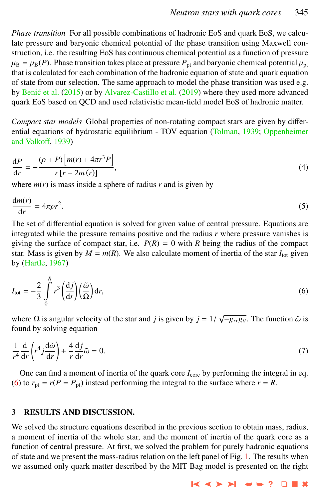*Phase transition* For all possible combinations of hadronic EoS and quark EoS, we calculate pressure and baryonic chemical potential of the phase transition using Maxwell construction, i.e. the resulting EoS has continuous chemical potential as a function of pressure  $\mu_B = \mu_B(P)$ . Phase transition takes place at pressure  $P_{pt}$  and baryonic chemical potential  $\mu_{pt}$ that is calculated for each combination of the hadronic equation of state and quark equation of state from our selection. The same approach to model the phase transition was used e.g. by Benić et al. [\(2015\)](#page-6-0) or by [Alvarez-Castillo et al.](#page-6-0) [\(2019\)](#page-6-0) where they used more advanced quark EoS based on QCD and used relativistic mean-field model EoS of hadronic matter.

*Compact star models* Global properties of non-rotating compact stars are given by differential equations of hydrostatic equilibrium - TOV equation [\(Tolman,](#page-7-0) [1939;](#page-7-0) [Oppenheimer](#page-6-0) [and Volko](#page-6-0)ff, [1939\)](#page-6-0)

$$
\frac{\mathrm{d}P}{\mathrm{d}r} = -\frac{(\rho + P)\left[m(r) + 4\pi r^3 P\right]}{r\left[r - 2m\left(r\right)\right]},\tag{4}
$$

where  $m(r)$  is mass inside a sphere of radius  $r$  and is given by

$$
\frac{\mathrm{d}m(r)}{\mathrm{d}r} = 4\pi\rho r^2. \tag{5}
$$

The set of differential equation is solved for given value of central pressure. Equations are integrated while the pressure remains positive and the radius *r* where pressure vanishes is giving the surface of compact star, i.e.  $P(R) = 0$  with *R* being the radius of the compact star. Mass is given by  $M = m(R)$ . We also calculate moment of inertia of the star  $I_{\text{tot}}$  given by [\(Hartle,](#page-6-0) [1967\)](#page-6-0)

$$
I_{\text{tot}} = -\frac{2}{3} \int_{0}^{R} r^{3} \left(\frac{dj}{dr}\right) \left(\frac{\tilde{\omega}}{\Omega}\right) dr,\tag{6}
$$

where  $\Omega$  is angular velocity of the star and *j* is given by  $j = 1/\sqrt{-g_{rr}g_{tt}}$ . The function  $\tilde{\omega}$  is found by solving equation found by solving equation

$$
\frac{1}{r^4}\frac{d}{dr}\left(r^4j\frac{d\tilde{\omega}}{dr}\right) + \frac{4}{r}\frac{dj}{dr}\tilde{\omega} = 0.
$$
\n(7)

One can find a moment of inertia of the quark core  $I_{\text{core}}$  by performing the integral in eq. (6) to  $r_{\text{pt}} = r(P = P_{\text{pt}})$  instead performing the integral to the surface where  $r = R$ .

## 3 RESULTS AND DISCUSSION.

We solved the structure equations described in the previous section to obtain mass, radius, a moment of inertia of the whole star, and the moment of inertia of the quark core as a function of central pressure. At first, we solved the problem for purely hadronic equations of state and we present the mass-radius relation on the left panel of Fig. [1.](#page-3-0) The results when we assumed only quark matter described by the MIT Bag model is presented on the right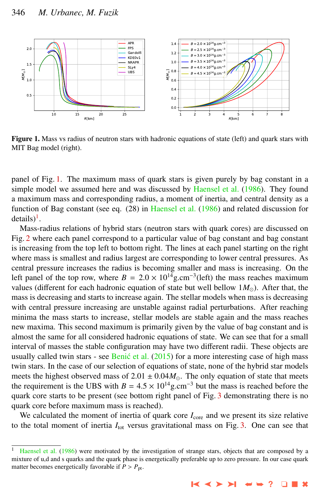<span id="page-3-0"></span>

Figure 1. Mass vs radius of neutron stars with hadronic equations of state (left) and quark stars with MIT Bag model (right).

panel of Fig. 1. The maximum mass of quark stars is given purely by bag constant in a simple model we assumed here and was discussed by [Haensel et al.](#page-6-0) [\(1986\)](#page-6-0). They found a maximum mass and corresponding radius, a moment of inertia, and central density as a function of Bag constant (see eq. (28) in [Haensel et al.](#page-6-0) [\(1986\)](#page-6-0) and related discussion for  $details)^{1}$ .

Mass-radius relations of hybrid stars (neutron stars with quark cores) are discussed on Fig. [2](#page-4-0) where each panel correspond to a particular value of bag constant and bag constant is increasing from the top left to bottom right. The lines at each panel starting on the right where mass is smallest and radius largest are corresponding to lower central pressures. As central pressure increases the radius is becoming smaller and mass is increasing. On the left panel of the top row, where  $B = 2.0 \times 10^{14}$  g.cm<sup>-3</sup>(left) the mass reaches maximum<br>values (different for each hadronic equation of state but well bellow 1*M*.) After that the values (different for each hadronic equation of state but well bellow  $1M_{\odot}$ ). After that, the mass is decreasing and starts to increase again. The stellar models when mass is decreasing with central pressure increasing are unstable against radial perturbations. After reaching minima the mass starts to increase, stellar models are stable again and the mass reaches new maxima. This second maximum is primarily given by the value of bag constant and is almost the same for all considered hadronic equations of state. We can see that for a small interval of masses the stable configuration may have two different radii. These objects are usually called twin stars - see Benić et al.  $(2015)$  for a more interesting case of high mass twin stars. In the case of our selection of equations of state, none of the hybrid star models meets the highest observed mass of  $2.01 \pm 0.04 M_{\odot}$ . The only equation of state that meets the requirement is the UBS with  $B = 4.5 \times 10^{14}$  g.cm<sup>-3</sup> but the mass is reached before the quark core starts to be present (see bottom right panel of Fig. [3](#page-5-0) demonstrating there is no quark core before maximum mass is reached).

We calculated the moment of inertia of quark core  $I_{\text{core}}$  and we present its size relative to the total moment of inertia  $I_{\text{tot}}$  versus gravitational mass on Fig. [3.](#page-5-0) One can see that

[Haensel et al.](#page-6-0) [\(1986\)](#page-6-0) were motivated by the investigation of strange stars, objects that are composed by a mixture of u,d and s quarks and the quark phase is energetically preferable up to zero pressure. In our case quark matter becomes energetically favorable if  $P > P_{\text{pt}}$ .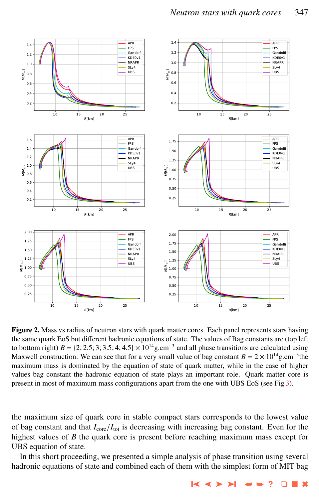<span id="page-4-0"></span>

Figure 2. Mass vs radius of neutron stars with quark matter cores. Each panel represents stars having the same quark EoS but different hadronic equations of state. The values of Bag constants are (top left to bottom right)  $B = \{2, 2.5, 3, 3.5, 4, 4.5\} \times 10^{14}$ g.cm<sup>-3</sup> and all phase transitions are calculated using<br>Maxwell construction. We can see that for a very small value of hag constant  $B = 2 \times 10^{14}$ g cm<sup>-3</sup>the Maxwell construction. We can see that for a very small value of bag constant  $B = 2 \times 10^{14}$  g.cm<sup>-3</sup> the maximum mass is dominated by the equation of state of quark matter, while in the case of higher values bag constant the hadronic equation of state plays an important role. Quark matter core is present in most of maximum mass configurations apart from the one with UBS EoS (see Fig [3\)](#page-5-0).

the maximum size of quark core in stable compact stars corresponds to the lowest value of bag constant and that *<sup>I</sup>*core/*I*tot is decreasing with increasing bag constant. Even for the highest values of *B* the quark core is present before reaching maximum mass except for UBS equation of state.

In this short proceeding, we presented a simple analysis of phase transition using several hadronic equations of state and combined each of them with the simplest form of MIT bag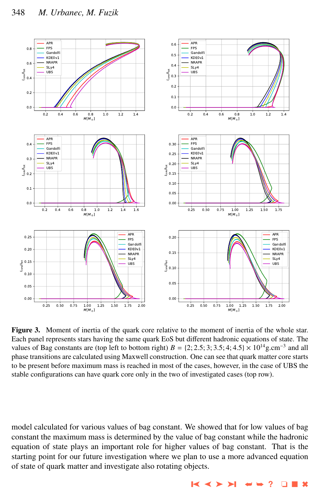<span id="page-5-0"></span>

Figure 3. Moment of inertia of the quark core relative to the moment of inertia of the whole star. Each panel represents stars having the same quark EoS but different hadronic equations of state. The values of Bag constants are (top left to bottom right)  $B = \{2, 2.5, 3, 3.5, 4, 4.5\} \times 10^{14}$  g.cm<sup>-3</sup> and all<br>phase transitions are calculated using Maxwell construction. One can see that quark matter core starts phase transitions are calculated using Maxwell construction. One can see that quark matter core starts to be present before maximum mass is reached in most of the cases, however, in the case of UBS the stable configurations can have quark core only in the two of investigated cases (top row).

model calculated for various values of bag constant. We showed that for low values of bag constant the maximum mass is determined by the value of bag constant while the hadronic equation of state plays an important role for higher values of bag constant. That is the starting point for our future investigation where we plan to use a more advanced equation of state of quark matter and investigate also rotating objects.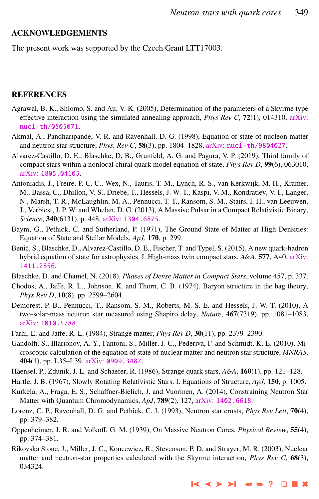#### <span id="page-6-0"></span>ACKNOWLEDGEMENTS

The present work was supported by the Czech Grant LTT17003.

## REFERENCES

- Agrawal, B. K., Shlomo, S. and Au, V. K. (2005), Determination of the parameters of a Skyrme type effective interaction using the simulated annealing approach, *Phys Rev C*, 72(1), 014310, [arXiv:](http://www.arxiv.org/abs/nucl-th/0505071) [nucl-th/0505071](http://www.arxiv.org/abs/nucl-th/0505071).
- Akmal, A., Pandharipande, V. R. and Ravenhall, D. G. (1998), Equation of state of nucleon matter and neutron star structure, *Phys. Rev C*, 58(3), pp. 1804–1828, arXiv: [nucl-th/9804027](http://www.arxiv.org/abs/nucl-th/9804027).
- Alvarez-Castillo, D. E., Blaschke, D. B., Grunfeld, A. G. and Pagura, V. P. (2019), Third family of compact stars within a nonlocal chiral quark model equation of state, *Phys Rev D*, 99(6), 063010, arXiv: [1805.04105](http://www.arxiv.org/abs/1805.04105).
- Antoniadis, J., Freire, P. C. C., Wex, N., Tauris, T. M., Lynch, R. S., van Kerkwijk, M. H., Kramer, M., Bassa, C., Dhillon, V. S., Driebe, T., Hessels, J. W. T., Kaspi, V. M., Kondratiev, V. I., Langer, N., Marsh, T. R., McLaughlin, M. A., Pennucci, T. T., Ransom, S. M., Stairs, I. H., van Leeuwen, J., Verbiest, J. P. W. and Whelan, D. G. (2013), A Massive Pulsar in a Compact Relativistic Binary, *Science*, 340(6131), p. 448, arXiv: [1304.6875](http://www.arxiv.org/abs/1304.6875).
- Baym, G., Pethick, C. and Sutherland, P. (1971), The Ground State of Matter at High Densities: Equation of State and Stellar Models, *ApJ*, 170, p. 299.
- Benic, S., Blaschke, D., Alvarez-Castillo, D. E., Fischer, T. and Typel, S. (2015), A new quark-hadron ´ hybrid equation of state for astrophysics. I. High-mass twin compact stars, *A*&*A*, 577, A40, [arXiv:](http://www.arxiv.org/abs/1411.2856) [1411.2856](http://www.arxiv.org/abs/1411.2856).
- Blaschke, D. and Chamel, N. (2018), *Phases of Dense Matter in Compact Stars*, volume 457, p. 337.
- Chodos, A., Jaffe, R. L., Johnson, K. and Thorn, C. B. (1974), Baryon structure in the bag theory, *Phys Rev D*, 10(8), pp. 2599–2604.
- Demorest, P. B., Pennucci, T., Ransom, S. M., Roberts, M. S. E. and Hessels, J. W. T. (2010), A two-solar-mass neutron star measured using Shapiro delay, *Nature*, 467(7319), pp. 1081–1083, arXiv: [1010.5788](http://www.arxiv.org/abs/1010.5788).
- Farhi, E. and Jaffe, R. L. (1984), Strange matter, *Phys Rev D*, 30(11), pp. 2379–2390.
- Gandolfi, S., Illarionov, A. Y., Fantoni, S., Miller, J. C., Pederiva, F. and Schmidt, K. E. (2010), Microscopic calculation of the equation of state of nuclear matter and neutron star structure, *MNRAS*, 404(1), pp. L35–L39, arXiv: [0909.3487](http://www.arxiv.org/abs/0909.3487).
- Haensel, P., Zdunik, J. L. and Schaefer, R. (1986), Strange quark stars, *A*&*A*, 160(1), pp. 121–128.
- Hartle, J. B. (1967), Slowly Rotating Relativistic Stars. I. Equations of Structure, *ApJ*, 150, p. 1005.
- Kurkela, A., Fraga, E. S., Schaffner-Bielich, J. and Vuorinen, A. (2014), Constraining Neutron Star Matter with Quantum Chromodynamics, *ApJ*, 789(2), 127, arXiv: [1402.6618](http://www.arxiv.org/abs/1402.6618).
- Lorenz, C. P., Ravenhall, D. G. and Pethick, C. J. (1993), Neutron star crusts, *Phys Rev Lett*, 70(4), pp. 379–382.
- Oppenheimer, J. R. and Volkoff, G. M. (1939), On Massive Neutron Cores, *Physical Review*, 55(4), pp. 374–381.
- Rikovska Stone, J., Miller, J. C., Koncewicz, R., Stevenson, P. D. and Strayer, M. R. (2003), Nuclear matter and neutron-star properties calculated with the Skyrme interaction, *Phys Rev C*, 68(3), 034324.